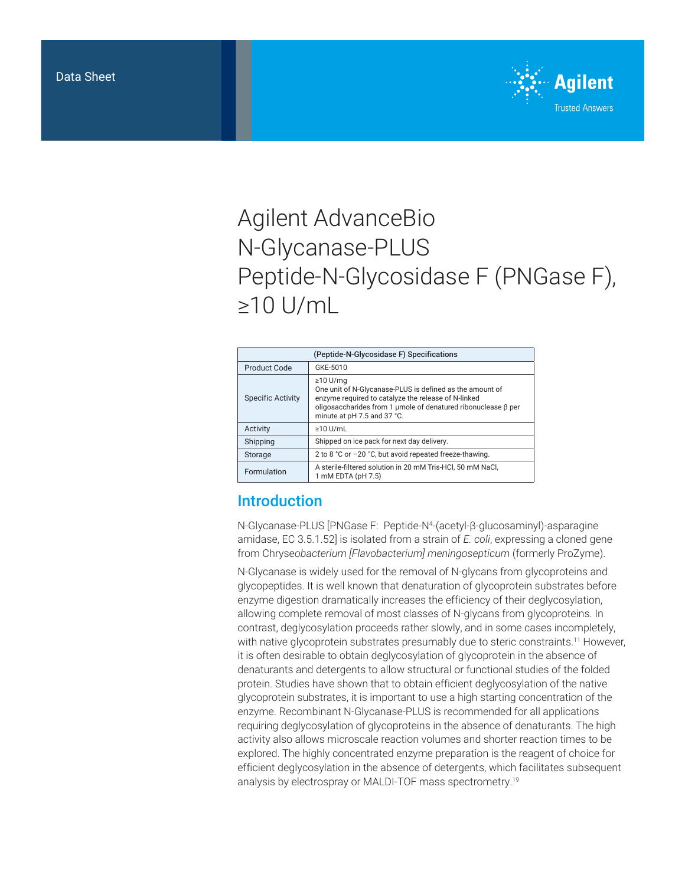

# Agilent AdvanceBio N-Glycanase-PLUS Peptide-N-Glycosidase F (PNGase F), ≥10 U/mL

| (Peptide-N-Glycosidase F) Specifications |                                                                                                                                                                                                                                   |
|------------------------------------------|-----------------------------------------------------------------------------------------------------------------------------------------------------------------------------------------------------------------------------------|
| Product Code                             | GKE-5010                                                                                                                                                                                                                          |
| <b>Specific Activity</b>                 | $\geq$ 10 U/mg<br>One unit of N-Glycanase-PLUS is defined as the amount of<br>enzyme required to catalyze the release of N-linked<br>oligosaccharides from 1 μmole of denatured ribonuclease β per<br>minute at pH 7.5 and 37 °C. |
| Activity                                 | $\geq$ 10 U/mL                                                                                                                                                                                                                    |
| Shipping                                 | Shipped on ice pack for next day delivery.                                                                                                                                                                                        |
| Storage                                  | 2 to 8 °C or −20 °C, but avoid repeated freeze-thawing.                                                                                                                                                                           |
| Formulation                              | A sterile-filtered solution in 20 mM Tris-HCl, 50 mM NaCl,<br>1 mM EDTA (pH 7.5)                                                                                                                                                  |

## Introduction

N-Glycanase-PLUS [PNGase F: Peptide-N4 -(acetyl-β-glucosaminyl)-asparagine amidase, EC 3.5.1.52] is isolated from a strain of *E. coli*, expressing a cloned gene from Chryse*obacterium [Flavobacterium] meningosepticum* (formerly ProZyme).

N-Glycanase is widely used for the removal of N-glycans from glycoproteins and glycopeptides. It is well known that denaturation of glycoprotein substrates before enzyme digestion dramatically increases the efficiency of their deglycosylation, allowing complete removal of most classes of N-glycans from glycoproteins. In contrast, deglycosylation proceeds rather slowly, and in some cases incompletely, with native glycoprotein substrates presumably due to steric constraints.<sup>11</sup> However, it is often desirable to obtain deglycosylation of glycoprotein in the absence of denaturants and detergents to allow structural or functional studies of the folded protein. Studies have shown that to obtain efficient deglycosylation of the native glycoprotein substrates, it is important to use a high starting concentration of the enzyme. Recombinant N-Glycanase-PLUS is recommended for all applications requiring deglycosylation of glycoproteins in the absence of denaturants. The high activity also allows microscale reaction volumes and shorter reaction times to be explored. The highly concentrated enzyme preparation is the reagent of choice for efficient deglycosylation in the absence of detergents, which facilitates subsequent analysis by electrospray or MALDI-TOF mass spectrometry.19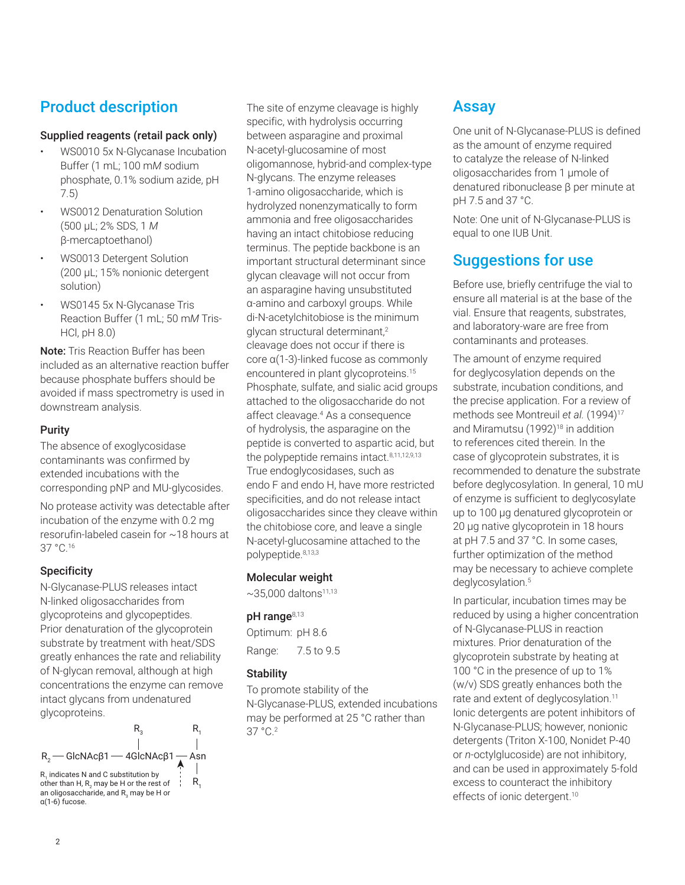# Product description

#### Supplied reagents (retail pack only)

- WS0010 5x N-Glycanase Incubation Buffer (1 mL; 100 m*M* sodium phosphate, 0.1% sodium azide, pH 7.5)
- WS0012 Denaturation Solution (500 µL; 2% SDS, 1 *M* β-mercaptoethanol)
- WS0013 Detergent Solution (200 µL; 15% nonionic detergent solution)
- WS0145 5x N-Glycanase Tris Reaction Buffer (1 mL; 50 m*M* Tris-HCl, pH 8.0)

Note: Tris Reaction Buffer has been included as an alternative reaction buffer because phosphate buffers should be avoided if mass spectrometry is used in downstream analysis.

#### Purity

The absence of exoglycosidase contaminants was confirmed by extended incubations with the corresponding pNP and MU-glycosides.

No protease activity was detectable after incubation of the enzyme with 0.2 mg resorufin-labeled casein for ~18 hours at 37 °C.16

#### **Specificity**

N-Glycanase-PLUS releases intact N-linked oligosaccharides from glycoproteins and glycopeptides. Prior denaturation of the glycoprotein substrate by treatment with heat/SDS greatly enhances the rate and reliability of N-glycan removal, although at high concentrations the enzyme can remove intact glycans from undenatured glycoproteins.



The site of enzyme cleavage is highly specific, with hydrolysis occurring between asparagine and proximal N-acetyl-glucosamine of most oligomannose, hybrid-and complex‑type N-glycans. The enzyme releases 1-amino oligosaccharide, which is hydrolyzed nonenzymatically to form ammonia and free oligosaccharides having an intact chitobiose reducing terminus. The peptide backbone is an important structural determinant since glycan cleavage will not occur from an asparagine having unsubstituted α-amino and carboxyl groups. While di-N‑acetylchitobiose is the minimum glycan structural determinant,<sup>2</sup> cleavage does not occur if there is core α(1-3)‑linked fucose as commonly encountered in plant glycoproteins.<sup>15</sup> Phosphate, sulfate, and sialic acid groups attached to the oligosaccharide do not affect cleavage.<sup>4</sup> As a consequence of hydrolysis, the asparagine on the peptide is converted to aspartic acid, but the polypeptide remains intact.<sup>8,11,12,9,13</sup> True endoglycosidases, such as endo F and endo H, have more restricted specificities, and do not release intact oligosaccharides since they cleave within the chitobiose core, and leave a single N-acetyl-glucosamine attached to the polypeptide.8,13,3

#### Molecular weight

 $\sim$ 35,000 daltons<sup>11,13</sup>

#### $pH$  range $8,13$

Optimum: pH 8.6 Range: 7.5 to 9.5

#### **Stability**

To promote stability of the N-Glycanase‑PLUS, extended incubations may be performed at 25 °C rather than 37 °C.2

### Assay

One unit of N-Glycanase-PLUS is defined as the amount of enzyme required to catalyze the release of N-linked oligosaccharides from 1 µmole of denatured ribonuclease β per minute at pH 7.5 and 37 °C.

Note: One unit of N-Glycanase-PLUS is equal to one IUB Unit.

# Suggestions for use

Before use, briefly centrifuge the vial to ensure all material is at the base of the vial. Ensure that reagents, substrates, and laboratory-ware are free from contaminants and proteases.

The amount of enzyme required for deglycosylation depends on the substrate, incubation conditions, and the precise application. For a review of methods see Montreuil et al. (1994)<sup>17</sup> and Miramutsu (1992)<sup>18</sup> in addition to references cited therein. In the case of glycoprotein substrates, it is recommended to denature the substrate before deglycosylation. In general, 10 mU of enzyme is sufficient to deglycosylate up to 100 µg denatured glycoprotein or 20 µg native glycoprotein in 18 hours at pH 7.5 and 37 °C. In some cases, further optimization of the method may be necessary to achieve complete deglycosylation.<sup>5</sup>

In particular, incubation times may be reduced by using a higher concentration of N-Glycanase-PLUS in reaction mixtures. Prior denaturation of the glycoprotein substrate by heating at 100 °C in the presence of up to 1% (w/v) SDS greatly enhances both the rate and extent of deglycosylation.<sup>11</sup> Ionic detergents are potent inhibitors of N-Glycanase-PLUS; however, nonionic detergents (Triton X-100, Nonidet P-40 or *n-*octylglucoside) are not inhibitory, and can be used in approximately 5-fold excess to counteract the inhibitory effects of ionic detergent.<sup>10</sup>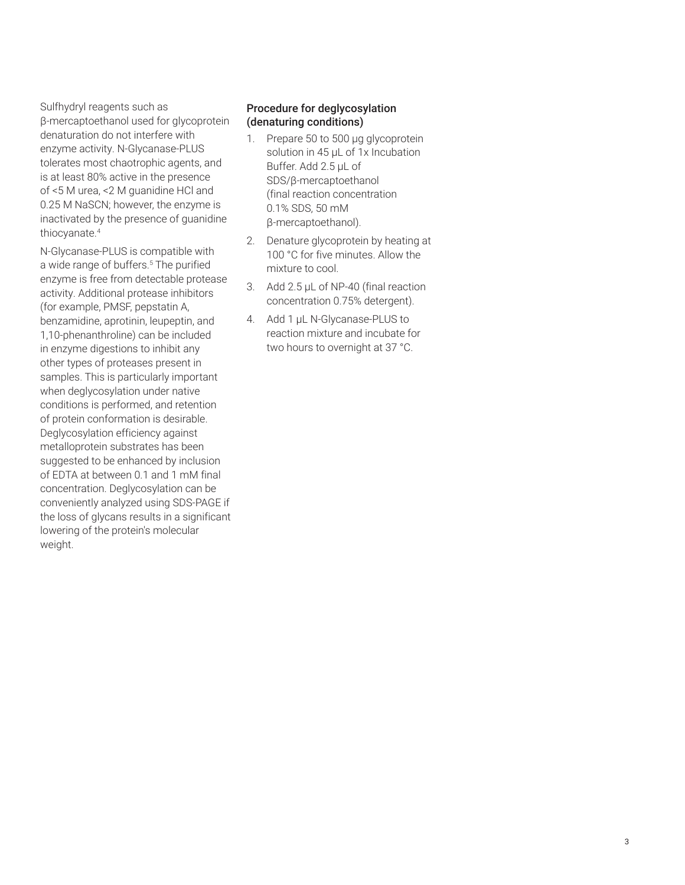Sulfhydryl reagents such as β-mercaptoethanol used for glycoprotein denaturation do not interfere with enzyme activity. N-Glycanase-PLUS tolerates most chaotrophic agents, and is at least 80% active in the presence of <5 M urea, <2 M guanidine HCl and 0.25 M NaSCN; however, the enzyme is inactivated by the presence of guanidine thiocyanate.<sup>4</sup>

N-Glycanase-PLUS is compatible with a wide range of buffers.<sup>5</sup> The purified enzyme is free from detectable protease activity. Additional protease inhibitors (for example, PMSF, pepstatin A, benzamidine, aprotinin, leupeptin, and 1,10-phenanthroline) can be included in enzyme digestions to inhibit any other types of proteases present in samples. This is particularly important when deglycosylation under native conditions is performed, and retention of protein conformation is desirable. Deglycosylation efficiency against metalloprotein substrates has been suggested to be enhanced by inclusion of EDTA at between 0.1 and 1 mM final concentration. Deglycosylation can be conveniently analyzed using SDS-PAGE if the loss of glycans results in a significant lowering of the protein's molecular weight.

#### Procedure for deglycosylation (denaturing conditions)

- 1. Prepare 50 to 500 µg glycoprotein solution in 45 µL of 1x Incubation Buffer. Add 2.5 µL of SDS/β-mercaptoethanol (final reaction concentration 0.1% SDS, 50 mM β-mercaptoethanol).
- 2. Denature glycoprotein by heating at 100 °C for five minutes. Allow the mixture to cool.
- 3. Add 2.5 µL of NP-40 (final reaction concentration 0.75% detergent).
- 4. Add 1 µL N-Glycanase-PLUS to reaction mixture and incubate for two hours to overnight at 37 °C.